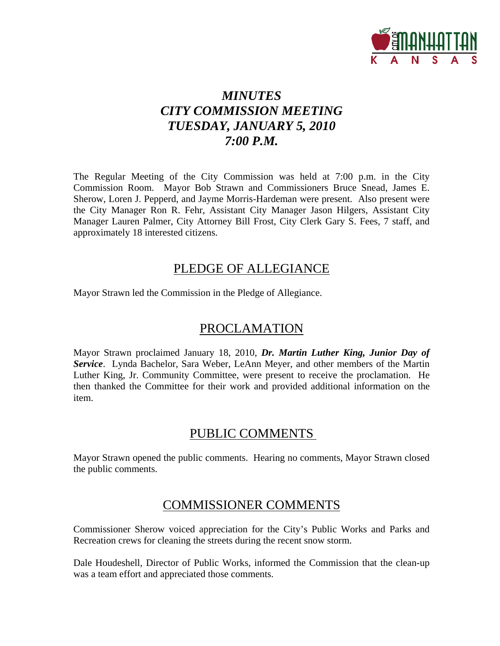

# *MINUTES CITY COMMISSION MEETING TUESDAY, JANUARY 5, 2010 7:00 P.M.*

The Regular Meeting of the City Commission was held at 7:00 p.m. in the City Commission Room. Mayor Bob Strawn and Commissioners Bruce Snead, James E. Sherow, Loren J. Pepperd, and Jayme Morris-Hardeman were present. Also present were the City Manager Ron R. Fehr, Assistant City Manager Jason Hilgers, Assistant City Manager Lauren Palmer, City Attorney Bill Frost, City Clerk Gary S. Fees, 7 staff, and approximately 18 interested citizens.

## PLEDGE OF ALLEGIANCE

Mayor Strawn led the Commission in the Pledge of Allegiance.

## PROCLAMATION

Mayor Strawn proclaimed January 18, 2010, *Dr. Martin Luther King, Junior Day of Service*. Lynda Bachelor, Sara Weber, LeAnn Meyer, and other members of the Martin Luther King, Jr. Community Committee, were present to receive the proclamation. He then thanked the Committee for their work and provided additional information on the item.

## PUBLIC COMMENTS

Mayor Strawn opened the public comments. Hearing no comments, Mayor Strawn closed the public comments.

## COMMISSIONER COMMENTS

Commissioner Sherow voiced appreciation for the City's Public Works and Parks and Recreation crews for cleaning the streets during the recent snow storm.

Dale Houdeshell, Director of Public Works, informed the Commission that the clean-up was a team effort and appreciated those comments.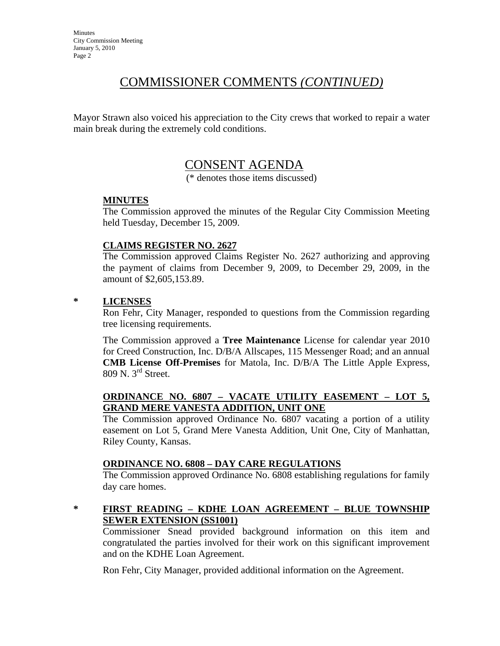## COMMISSIONER COMMENTS *(CONTINUED)*

Mayor Strawn also voiced his appreciation to the City crews that worked to repair a water main break during the extremely cold conditions.

## CONSENT AGENDA

(\* denotes those items discussed)

### **MINUTES**

The Commission approved the minutes of the Regular City Commission Meeting held Tuesday, December 15, 2009.

### **CLAIMS REGISTER NO. 2627**

The Commission approved Claims Register No. 2627 authorizing and approving the payment of claims from December 9, 2009, to December 29, 2009, in the amount of \$2,605,153.89.

### **\* LICENSES**

Ron Fehr, City Manager, responded to questions from the Commission regarding tree licensing requirements.

The Commission approved a **Tree Maintenance** License for calendar year 2010 for Creed Construction, Inc. D/B/A Allscapes, 115 Messenger Road; and an annual **CMB License Off-Premises** for Matola, Inc. D/B/A The Little Apple Express, 809 N. 3rd Street.

### **ORDINANCE NO. 6807 – VACATE UTILITY EASEMENT – LOT 5, GRAND MERE VANESTA ADDITION, UNIT ONE**

The Commission approved Ordinance No. 6807 vacating a portion of a utility easement on Lot 5, Grand Mere Vanesta Addition, Unit One, City of Manhattan, Riley County, Kansas.

### **ORDINANCE NO. 6808 – DAY CARE REGULATIONS**

The Commission approved Ordinance No. 6808 establishing regulations for family day care homes.

### **\* FIRST READING – KDHE LOAN AGREEMENT – BLUE TOWNSHIP SEWER EXTENSION (SS1001)**

Commissioner Snead provided background information on this item and congratulated the parties involved for their work on this significant improvement and on the KDHE Loan Agreement.

Ron Fehr, City Manager, provided additional information on the Agreement.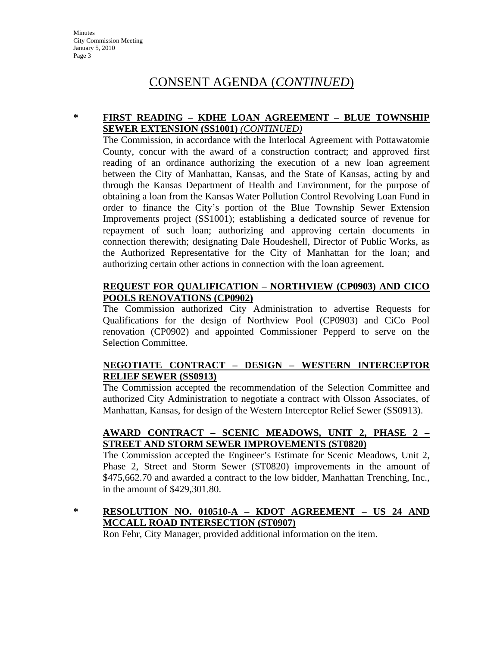### **\* FIRST READING – KDHE LOAN AGREEMENT – BLUE TOWNSHIP SEWER EXTENSION (SS1001)** *(CONTINUED)*

The Commission, in accordance with the Interlocal Agreement with Pottawatomie County, concur with the award of a construction contract; and approved first reading of an ordinance authorizing the execution of a new loan agreement between the City of Manhattan, Kansas, and the State of Kansas, acting by and through the Kansas Department of Health and Environment, for the purpose of obtaining a loan from the Kansas Water Pollution Control Revolving Loan Fund in order to finance the City's portion of the Blue Township Sewer Extension Improvements project (SS1001); establishing a dedicated source of revenue for repayment of such loan; authorizing and approving certain documents in connection therewith; designating Dale Houdeshell, Director of Public Works, as the Authorized Representative for the City of Manhattan for the loan; and authorizing certain other actions in connection with the loan agreement.

### **REQUEST FOR QUALIFICATION – NORTHVIEW (CP0903) AND CICO POOLS RENOVATIONS (CP0902)**

The Commission authorized City Administration to advertise Requests for Qualifications for the design of Northview Pool (CP0903) and CiCo Pool renovation (CP0902) and appointed Commissioner Pepperd to serve on the Selection Committee.

### **NEGOTIATE CONTRACT – DESIGN – WESTERN INTERCEPTOR RELIEF SEWER (SS0913)**

The Commission accepted the recommendation of the Selection Committee and authorized City Administration to negotiate a contract with Olsson Associates, of Manhattan, Kansas, for design of the Western Interceptor Relief Sewer (SS0913).

### **AWARD CONTRACT – SCENIC MEADOWS, UNIT 2, PHASE 2 – STREET AND STORM SEWER IMPROVEMENTS (ST0820)**

The Commission accepted the Engineer's Estimate for Scenic Meadows, Unit 2, Phase 2, Street and Storm Sewer (ST0820) improvements in the amount of \$475,662.70 and awarded a contract to the low bidder, Manhattan Trenching, Inc., in the amount of \$429,301.80.

## **\* RESOLUTION NO. 010510-A – KDOT AGREEMENT – US 24 AND MCCALL ROAD INTERSECTION (ST0907)**

Ron Fehr, City Manager, provided additional information on the item.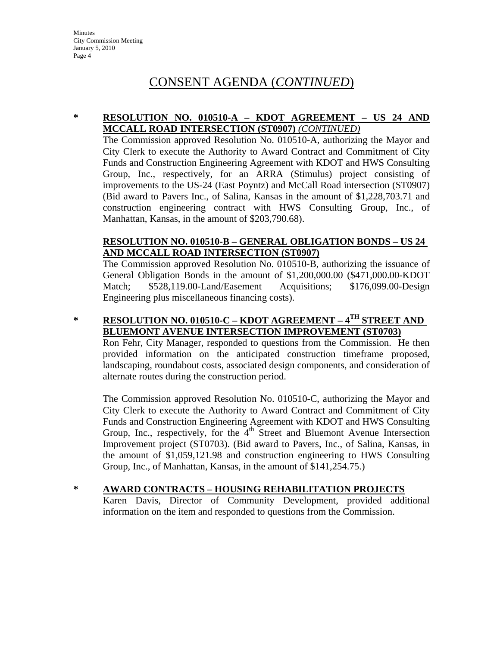### **\* RESOLUTION NO. 010510-A – KDOT AGREEMENT – US 24 AND MCCALL ROAD INTERSECTION (ST0907)** *(CONTINUED)*

The Commission approved Resolution No. 010510-A, authorizing the Mayor and City Clerk to execute the Authority to Award Contract and Commitment of City Funds and Construction Engineering Agreement with KDOT and HWS Consulting Group, Inc., respectively, for an ARRA (Stimulus) project consisting of improvements to the US-24 (East Poyntz) and McCall Road intersection (ST0907) (Bid award to Pavers Inc., of Salina, Kansas in the amount of \$1,228,703.71 and construction engineering contract with HWS Consulting Group, Inc., of Manhattan, Kansas, in the amount of \$203,790.68).

## **RESOLUTION NO. 010510-B – GENERAL OBLIGATION BONDS – US 24 AND MCCALL ROAD INTERSECTION (ST0907)**

The Commission approved Resolution No. 010510-B, authorizing the issuance of General Obligation Bonds in the amount of \$1,200,000.00 (\$471,000.00-KDOT Match;  $$528,119.00$ -Land/Easement Acquisitions; \$176,099.00-Design Engineering plus miscellaneous financing costs).

## **\* RESOLUTION NO. 010510-C – KDOT AGREEMENT – 4TH STREET AND BLUEMONT AVENUE INTERSECTION IMPROVEMENT (ST0703)**

Ron Fehr, City Manager, responded to questions from the Commission. He then provided information on the anticipated construction timeframe proposed, landscaping, roundabout costs, associated design components, and consideration of alternate routes during the construction period.

The Commission approved Resolution No. 010510-C, authorizing the Mayor and City Clerk to execute the Authority to Award Contract and Commitment of City Funds and Construction Engineering Agreement with KDOT and HWS Consulting Group, Inc., respectively, for the 4<sup>th</sup> Street and Bluemont Avenue Intersection Improvement project (ST0703). (Bid award to Pavers, Inc., of Salina, Kansas, in the amount of \$1,059,121.98 and construction engineering to HWS Consulting Group, Inc., of Manhattan, Kansas, in the amount of \$141,254.75.)

### **\* AWARD CONTRACTS – HOUSING REHABILITATION PROJECTS**

Karen Davis, Director of Community Development, provided additional information on the item and responded to questions from the Commission.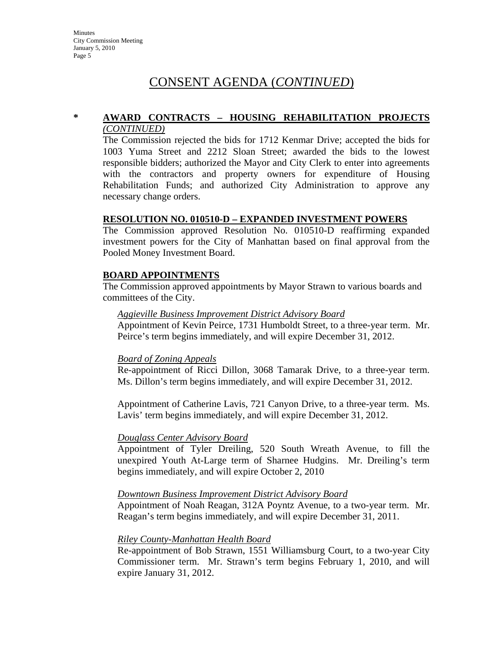#### **\* AWARD CONTRACTS – HOUSING REHABILITATION PROJECTS** *(CONTINUED)*

The Commission rejected the bids for 1712 Kenmar Drive; accepted the bids for 1003 Yuma Street and 2212 Sloan Street; awarded the bids to the lowest responsible bidders; authorized the Mayor and City Clerk to enter into agreements with the contractors and property owners for expenditure of Housing Rehabilitation Funds; and authorized City Administration to approve any necessary change orders.

### **RESOLUTION NO. 010510-D – EXPANDED INVESTMENT POWERS**

The Commission approved Resolution No. 010510-D reaffirming expanded investment powers for the City of Manhattan based on final approval from the Pooled Money Investment Board.

### **BOARD APPOINTMENTS**

The Commission approved appointments by Mayor Strawn to various boards and committees of the City.

#### *Aggieville Business Improvement District Advisory Board*

Appointment of Kevin Peirce, 1731 Humboldt Street, to a three-year term. Mr. Peirce's term begins immediately, and will expire December 31, 2012.

#### *Board of Zoning Appeals*

Re-appointment of Ricci Dillon, 3068 Tamarak Drive, to a three-year term. Ms. Dillon's term begins immediately, and will expire December 31, 2012.

Appointment of Catherine Lavis, 721 Canyon Drive, to a three-year term. Ms. Lavis' term begins immediately, and will expire December 31, 2012.

### *Douglass Center Advisory Board*

Appointment of Tyler Dreiling, 520 South Wreath Avenue, to fill the unexpired Youth At-Large term of Sharnee Hudgins. Mr. Dreiling's term begins immediately, and will expire October 2, 2010

#### *Downtown Business Improvement District Advisory Board*

Appointment of Noah Reagan, 312A Poyntz Avenue, to a two-year term. Mr. Reagan's term begins immediately, and will expire December 31, 2011.

### *Riley County-Manhattan Health Board*

Re-appointment of Bob Strawn, 1551 Williamsburg Court, to a two-year City Commissioner term. Mr. Strawn's term begins February 1, 2010, and will expire January 31, 2012.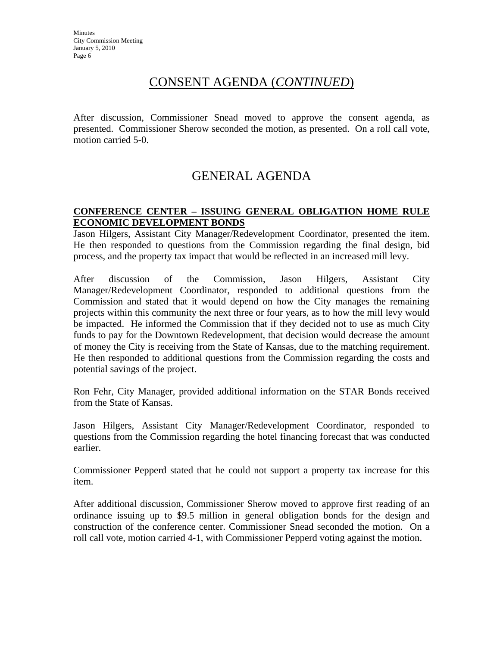After discussion, Commissioner Snead moved to approve the consent agenda, as presented. Commissioner Sherow seconded the motion, as presented. On a roll call vote, motion carried 5-0.

## GENERAL AGENDA

## **CONFERENCE CENTER – ISSUING GENERAL OBLIGATION HOME RULE ECONOMIC DEVELOPMENT BONDS**

Jason Hilgers, Assistant City Manager/Redevelopment Coordinator, presented the item. He then responded to questions from the Commission regarding the final design, bid process, and the property tax impact that would be reflected in an increased mill levy.

After discussion of the Commission, Jason Hilgers, Assistant City Manager/Redevelopment Coordinator, responded to additional questions from the Commission and stated that it would depend on how the City manages the remaining projects within this community the next three or four years, as to how the mill levy would be impacted. He informed the Commission that if they decided not to use as much City funds to pay for the Downtown Redevelopment, that decision would decrease the amount of money the City is receiving from the State of Kansas, due to the matching requirement. He then responded to additional questions from the Commission regarding the costs and potential savings of the project.

Ron Fehr, City Manager, provided additional information on the STAR Bonds received from the State of Kansas.

Jason Hilgers, Assistant City Manager/Redevelopment Coordinator, responded to questions from the Commission regarding the hotel financing forecast that was conducted earlier.

Commissioner Pepperd stated that he could not support a property tax increase for this item.

After additional discussion, Commissioner Sherow moved to approve first reading of an ordinance issuing up to \$9.5 million in general obligation bonds for the design and construction of the conference center. Commissioner Snead seconded the motion. On a roll call vote, motion carried 4-1, with Commissioner Pepperd voting against the motion.